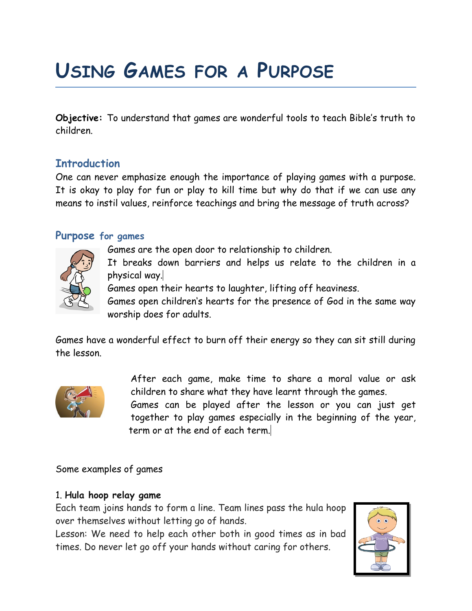# **USING GAMES FOR A PURPOSE**

**Objective:** To understand that games are wonderful tools to teach Bible's truth to children.

## **Introduction**

One can never emphasize enough the importance of playing games with a purpose. It is okay to play for fun or play to kill time but why do that if we can use any means to instil values, reinforce teachings and bring the message of truth across?

### **Purpose for games**



Games are the open door to relationship to children.

It breaks down barriers and helps us relate to the children in a physical way.

Games open their hearts to laughter, lifting off heaviness.

Games open children's hearts for the presence of God in the same way worship does for adults.

Games have a wonderful effect to burn off their energy so they can sit still during the lesson.



After each game, make time to share a moral value or ask children to share what they have learnt through the games.

Games can be played after the lesson or you can just get together to play games especially in the beginning of the year, term or at the end of each term.

Some examples of games

### 1. **Hula hoop relay game**

Each team joins hands to form a line. Team lines pass the hula hoop over themselves without letting go of hands.

Lesson: We need to help each other both in good times as in bad times. Do never let go off your hands without caring for others.

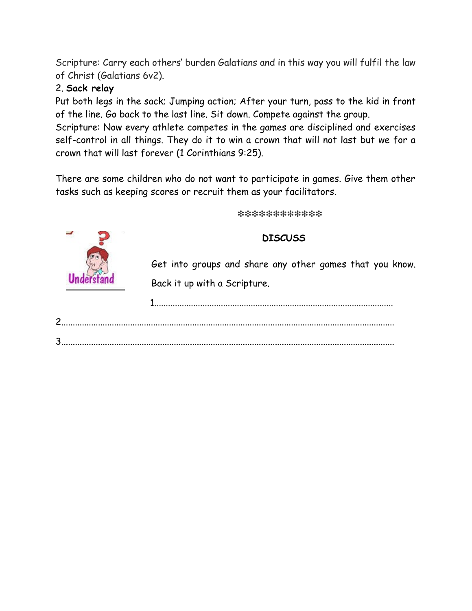Scripture: Carry each others' burden Galatians and in this way you will fulfil the law of Christ (Galatians 6v2).

## 2. **Sack relay**

Put both legs in the sack; Jumping action; After your turn, pass to the kid in front of the line. Go back to the last line. Sit down. Compete against the group.

Scripture: Now every athlete competes in the games are disciplined and exercises self-control in all things. They do it to win a crown that will not last but we for a crown that will last forever (1 Corinthians 9:25).

There are some children who do not want to participate in games. Give them other tasks such as keeping scores or recruit them as your facilitators.

❇❇❇❇❇❇❇❇❇❇❇❇

#### **DISCUSS**

Get into groups and share any other games that you know. Back it up with a Scripture.

1........................................................................................................

2.................................................................................................................................................

3.................................................................................................................................................